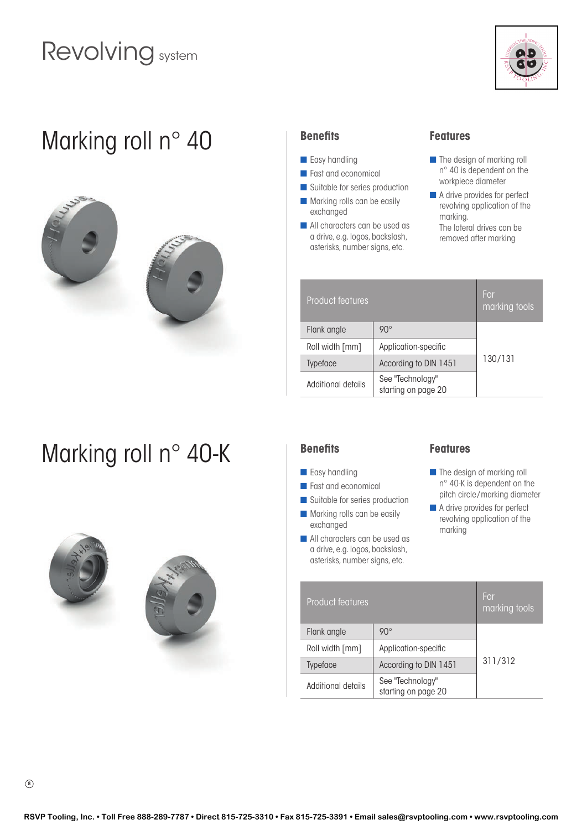# Revolving system



### Marking roll n° 40





# Marking roll n° 40-K | Benefits





#### **Benefits**

- **n** Easy handling
- **n** Fast and economical
- Suitable for series production
- $\blacksquare$  Marking rolls can be easily exchanged
- **n** All characters can be used as a drive, e.g. logos, backslash, asterisks, number signs, etc.

### **Features**

- $\blacksquare$  The design of marking roll n° 40 is dependent on the workpiece diameter
- $\blacksquare$  A drive provides for perfect revolving application of the marking. The lateral drives can be removed after marking

| Product features   |                                         | For<br>marking tools |
|--------------------|-----------------------------------------|----------------------|
| Flank angle        | $90^\circ$                              |                      |
| Roll width [mm]    | Application-specific                    | 130/131              |
| Typeface           | According to DIN 1451                   |                      |
| Additional details | See "Technology"<br>starting on page 20 |                      |

- **n** Easy handling
- **n** Fast and economical
- **n** Suitable for series production
- $\blacksquare$  Marking rolls can be easily exchanged
- **n** All characters can be used as a drive, e.g. logos, backslash, asterisks, number signs, etc.

#### **Features**

- $\blacksquare$  The design of marking roll n° 40-K is dependent on the pitch circle /marking diameter
- A drive provides for perfect revolving application of the marking

| <b>Product features</b> |                                         | For<br>marking tools |
|-------------------------|-----------------------------------------|----------------------|
| Flank angle             | $90^\circ$                              |                      |
| Roll width [mm]         | Application-specific                    | 311/312              |
| <b>Typeface</b>         | According to DIN 1451                   |                      |
| Additional details      | See "Technology"<br>starting on page 20 |                      |